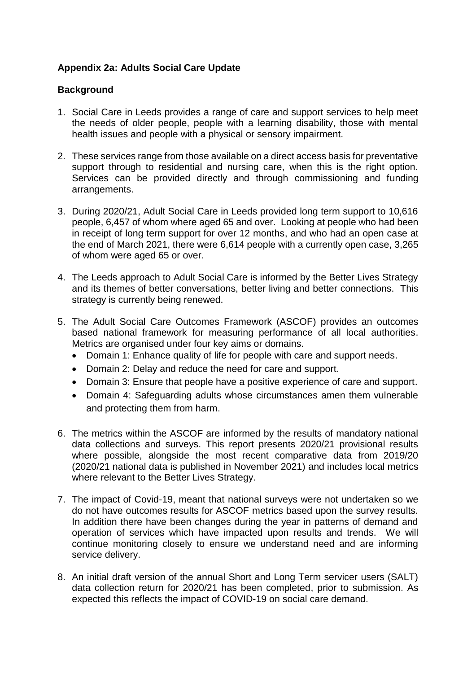# **Appendix 2a: Adults Social Care Update**

#### **Background**

- 1. Social Care in Leeds provides a range of care and support services to help meet the needs of older people, people with a learning disability, those with mental health issues and people with a physical or sensory impairment.
- 2. These services range from those available on a direct access basis for preventative support through to residential and nursing care, when this is the right option. Services can be provided directly and through commissioning and funding arrangements.
- 3. During 2020/21, Adult Social Care in Leeds provided long term support to 10,616 people, 6,457 of whom where aged 65 and over. Looking at people who had been in receipt of long term support for over 12 months, and who had an open case at the end of March 2021, there were 6,614 people with a currently open case, 3,265 of whom were aged 65 or over.
- 4. The Leeds approach to Adult Social Care is informed by the Better Lives Strategy and its themes of better conversations, better living and better connections. This strategy is currently being renewed.
- 5. The Adult Social Care Outcomes Framework (ASCOF) provides an outcomes based national framework for measuring performance of all local authorities. Metrics are organised under four key aims or domains.
	- Domain 1: Enhance quality of life for people with care and support needs.
	- Domain 2: Delay and reduce the need for care and support.
	- Domain 3: Ensure that people have a positive experience of care and support.
	- Domain 4: Safeguarding adults whose circumstances amen them vulnerable and protecting them from harm.
- 6. The metrics within the ASCOF are informed by the results of mandatory national data collections and surveys. This report presents 2020/21 provisional results where possible, alongside the most recent comparative data from 2019/20 (2020/21 national data is published in November 2021) and includes local metrics where relevant to the Better Lives Strategy.
- 7. The impact of Covid-19, meant that national surveys were not undertaken so we do not have outcomes results for ASCOF metrics based upon the survey results. In addition there have been changes during the year in patterns of demand and operation of services which have impacted upon results and trends. We will continue monitoring closely to ensure we understand need and are informing service delivery.
- 8. An initial draft version of the annual Short and Long Term servicer users (SALT) data collection return for 2020/21 has been completed, prior to submission. As expected this reflects the impact of COVID-19 on social care demand.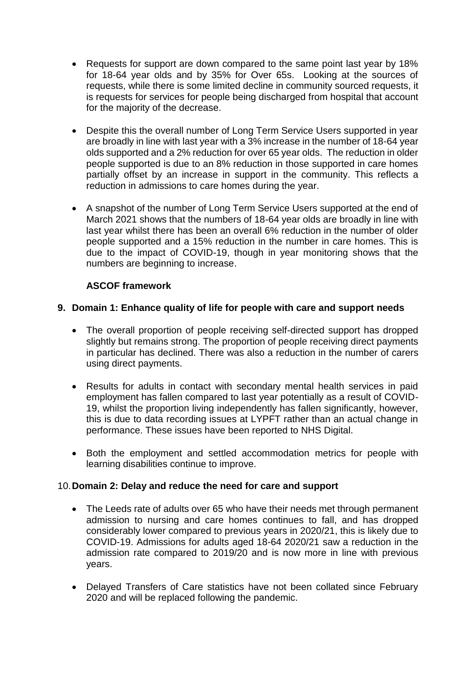- Requests for support are down compared to the same point last year by 18% for 18-64 year olds and by 35% for Over 65s. Looking at the sources of requests, while there is some limited decline in community sourced requests, it is requests for services for people being discharged from hospital that account for the majority of the decrease.
- Despite this the overall number of Long Term Service Users supported in year are broadly in line with last year with a 3% increase in the number of 18-64 year olds supported and a 2% reduction for over 65 year olds. The reduction in older people supported is due to an 8% reduction in those supported in care homes partially offset by an increase in support in the community. This reflects a reduction in admissions to care homes during the year.
- A snapshot of the number of Long Term Service Users supported at the end of March 2021 shows that the numbers of 18-64 year olds are broadly in line with last year whilst there has been an overall 6% reduction in the number of older people supported and a 15% reduction in the number in care homes. This is due to the impact of COVID-19, though in year monitoring shows that the numbers are beginning to increase.

## **ASCOF framework**

## **9. Domain 1: Enhance quality of life for people with care and support needs**

- The overall proportion of people receiving self-directed support has dropped slightly but remains strong. The proportion of people receiving direct payments in particular has declined. There was also a reduction in the number of carers using direct payments.
- Results for adults in contact with secondary mental health services in paid employment has fallen compared to last year potentially as a result of COVID-19, whilst the proportion living independently has fallen significantly, however, this is due to data recording issues at LYPFT rather than an actual change in performance. These issues have been reported to NHS Digital.
- Both the employment and settled accommodation metrics for people with learning disabilities continue to improve.

## 10.**Domain 2: Delay and reduce the need for care and support**

- The Leeds rate of adults over 65 who have their needs met through permanent admission to nursing and care homes continues to fall, and has dropped considerably lower compared to previous years in 2020/21, this is likely due to COVID-19. Admissions for adults aged 18-64 2020/21 saw a reduction in the admission rate compared to 2019/20 and is now more in line with previous years.
- Delayed Transfers of Care statistics have not been collated since February 2020 and will be replaced following the pandemic.